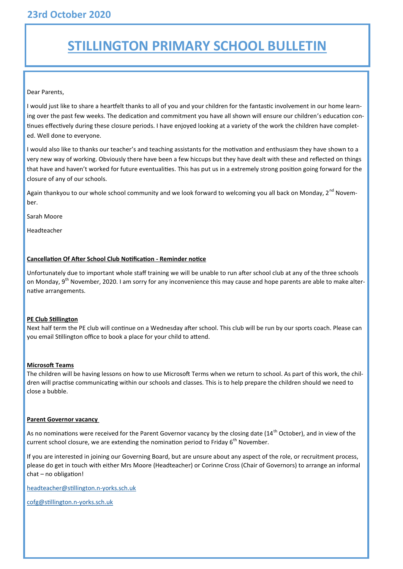## **STILLINGTON PRIMARY SCHOOL BULLETIN**

#### Dear Parents,

I would just like to share a heartfelt thanks to all of you and your children for the fantastic involvement in our home learning over the past few weeks. The dedication and commitment you have all shown will ensure our children's education continues effectively during these closure periods. I have enjoyed looking at a variety of the work the children have completed. Well done to everyone.

I would also like to thanks our teacher's and teaching assistants for the motivation and enthusiasm they have shown to a very new way of working. Obviously there have been a few hiccups but they have dealt with these and reflected on things that have and haven't worked for future eventualities. This has put us in a extremely strong position going forward for the closure of any of our schools.

Again thankyou to our whole school community and we look forward to welcoming you all back on Monday, 2<sup>nd</sup> November.

Sarah Moore

Headteacher

#### **Cancellation Of After School Club Notification - Reminder notice**

Unfortunately due to important whole staff training we will be unable to run after school club at any of the three schools on Monday, 9<sup>th</sup> November, 2020. I am sorry for any inconvenience this may cause and hope parents are able to make alternative arrangements.

#### **PE Club Stillington**

Next half term the PE club will continue on a Wednesday after school. This club will be run by our sports coach. Please can you email Stillington office to book a place for your child to attend.

#### **Microsoft Teams**

The children will be having lessons on how to use Microsoft Terms when we return to school. As part of this work, the children will practise communicating within our schools and classes. This is to help prepare the children should we need to close a bubble.

#### **Parent Governor vacancy**

As no nominations were received for the Parent Governor vacancy by the closing date (14<sup>th</sup> October), and in view of the current school closure, we are extending the nomination period to Friday  $6<sup>th</sup>$  November.

If you are interested in joining our Governing Board, but are unsure about any aspect of the role, or recruitment process, please do get in touch with either Mrs Moore (Headteacher) or Corinne Cross (Chair of Governors) to arrange an informal chat – no obligation!

[headteacher@stillington.n](mailto:headteacher@stillington.n-yorks.sch.uk)-yorks.sch.uk

[cofg@stillington.n](mailto:cofg@stillington.n-yorks.sch.uk)-yorks.sch.uk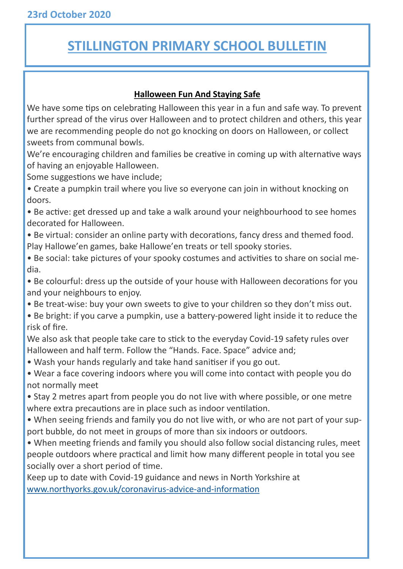## **STILLINGTON PRIMARY SCHOOL BULLETIN**

### **Halloween Fun And Staying Safe**

We have some tips on celebrating Halloween this year in a fun and safe way. To prevent further spread of the virus over Halloween and to protect children and others, this year we are recommending people do not go knocking on doors on Halloween, or collect sweets from communal bowls.

We're encouraging children and families be creative in coming up with alternative ways of having an enjoyable Halloween.

Some suggestions we have include;

• Create a pumpkin trail where you live so everyone can join in without knocking on doors.

• Be active: get dressed up and take a walk around your neighbourhood to see homes decorated for Halloween.

• Be virtual: consider an online party with decorations, fancy dress and themed food. Play Hallowe'en games, bake Hallowe'en treats or tell spooky stories.

• Be social: take pictures of your spooky costumes and activities to share on social media.

• Be colourful: dress up the outside of your house with Halloween decorations for you and your neighbours to enjoy.

- Be treat-wise: buy your own sweets to give to your children so they don't miss out.
- Be bright: if you carve a pumpkin, use a battery-powered light inside it to reduce the risk of fire.

We also ask that people take care to stick to the everyday Covid-19 safety rules over Halloween and half term. Follow the "Hands. Face. Space" advice and;

• Wash your hands regularly and take hand sanitiser if you go out.

• Wear a face covering indoors where you will come into contact with people you do not normally meet

• Stay 2 metres apart from people you do not live with where possible, or one metre where extra precautions are in place such as indoor ventilation.

• When seeing friends and family you do not live with, or who are not part of your support bubble, do not meet in groups of more than six indoors or outdoors.

• When meeting friends and family you should also follow social distancing rules, meet people outdoors where practical and limit how many different people in total you see socially over a short period of time.

Keep up to date with Covid-19 guidance and news in North Yorkshire at [www.northyorks.gov.uk/coronavirus](http://www.northyorks.gov.uk/coronavirus-advice-and-information)-advice-and-information